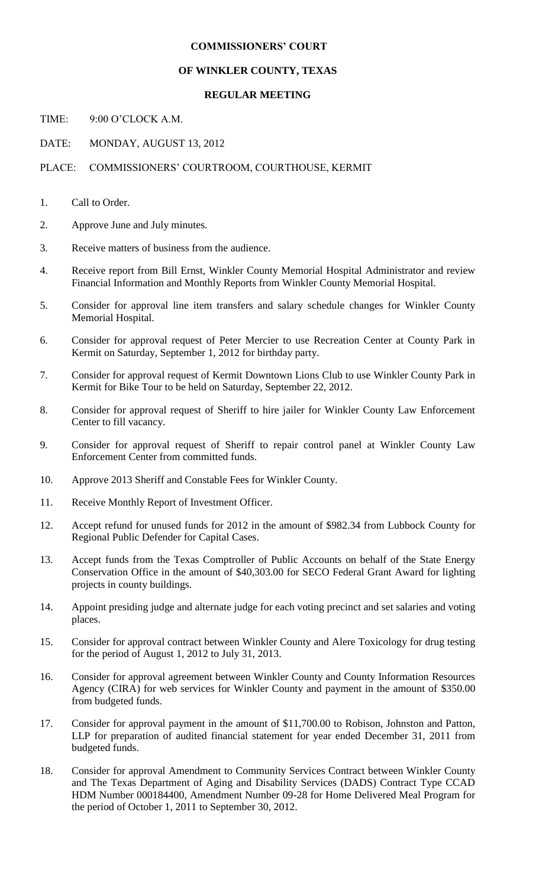## **COMMISSIONERS' COURT**

## **OF WINKLER COUNTY, TEXAS**

## **REGULAR MEETING**

TIME: 9:00 O'CLOCK A M.

DATE: MONDAY, AUGUST 13, 2012

## PLACE: COMMISSIONERS' COURTROOM, COURTHOUSE, KERMIT

- 1. Call to Order.
- 2. Approve June and July minutes.
- 3. Receive matters of business from the audience.
- 4. Receive report from Bill Ernst, Winkler County Memorial Hospital Administrator and review Financial Information and Monthly Reports from Winkler County Memorial Hospital.
- 5. Consider for approval line item transfers and salary schedule changes for Winkler County Memorial Hospital.
- 6. Consider for approval request of Peter Mercier to use Recreation Center at County Park in Kermit on Saturday, September 1, 2012 for birthday party.
- 7. Consider for approval request of Kermit Downtown Lions Club to use Winkler County Park in Kermit for Bike Tour to be held on Saturday, September 22, 2012.
- 8. Consider for approval request of Sheriff to hire jailer for Winkler County Law Enforcement Center to fill vacancy.
- 9. Consider for approval request of Sheriff to repair control panel at Winkler County Law Enforcement Center from committed funds.
- 10. Approve 2013 Sheriff and Constable Fees for Winkler County.
- 11. Receive Monthly Report of Investment Officer.
- 12. Accept refund for unused funds for 2012 in the amount of \$982.34 from Lubbock County for Regional Public Defender for Capital Cases.
- 13. Accept funds from the Texas Comptroller of Public Accounts on behalf of the State Energy Conservation Office in the amount of \$40,303.00 for SECO Federal Grant Award for lighting projects in county buildings.
- 14. Appoint presiding judge and alternate judge for each voting precinct and set salaries and voting places.
- 15. Consider for approval contract between Winkler County and Alere Toxicology for drug testing for the period of August 1, 2012 to July 31, 2013.
- 16. Consider for approval agreement between Winkler County and County Information Resources Agency (CIRA) for web services for Winkler County and payment in the amount of \$350.00 from budgeted funds.
- 17. Consider for approval payment in the amount of \$11,700.00 to Robison, Johnston and Patton, LLP for preparation of audited financial statement for year ended December 31, 2011 from budgeted funds.
- 18. Consider for approval Amendment to Community Services Contract between Winkler County and The Texas Department of Aging and Disability Services (DADS) Contract Type CCAD HDM Number 000184400, Amendment Number 09-28 for Home Delivered Meal Program for the period of October 1, 2011 to September 30, 2012.